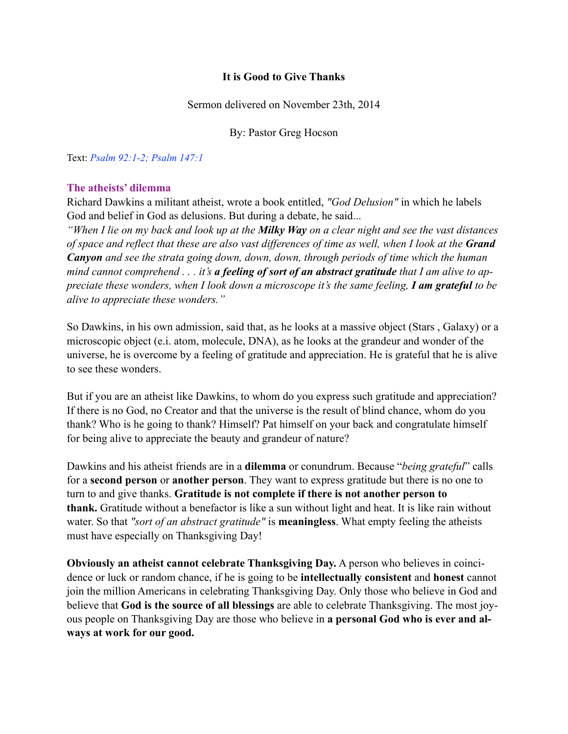### **It is Good to Give Thanks**

Sermon delivered on November 23th, 2014

By: Pastor Greg Hocson

Text: *Psalm 92:1-2; Psalm 147:1*

#### **The atheists' dilemma**

Richard Dawkins a militant atheist, wrote a book entitled, *"God Delusion"* in which he labels God and belief in God as delusions. But during a debate, he said...

*"When I lie on my back and look up at the Milky Way on a clear night and see the vast distances of space and reflect that these are also vast differences of time as well, when I look at the Grand Canyon and see the strata going down, down, down, through periods of time which the human mind cannot comprehend . . . it's a feeling of sort of an abstract gratitude that I am alive to appreciate these wonders, when I look down a microscope it's the same feeling, I am grateful to be alive to appreciate these wonders."*

So Dawkins, in his own admission, said that, as he looks at a massive object (Stars , Galaxy) or a microscopic object (e.i. atom, molecule, DNA), as he looks at the grandeur and wonder of the universe, he is overcome by a feeling of gratitude and appreciation. He is grateful that he is alive to see these wonders.

But if you are an atheist like Dawkins, to whom do you express such gratitude and appreciation? If there is no God, no Creator and that the universe is the result of blind chance, whom do you thank? Who is he going to thank? Himself? Pat himself on your back and congratulate himself for being alive to appreciate the beauty and grandeur of nature?

Dawkins and his atheist friends are in a **dilemma** or conundrum. Because "*being grateful*" calls for a **second person** or **another person**. They want to express gratitude but there is no one to turn to and give thanks. **Gratitude is not complete if there is not another person to thank.** Gratitude without a benefactor is like a sun without light and heat. It is like rain without water. So that *"sort of an abstract gratitude"* is **meaningless**. What empty feeling the atheists must have especially on Thanksgiving Day!

**Obviously an atheist cannot celebrate Thanksgiving Day.** A person who believes in coincidence or luck or random chance, if he is going to be **intellectually consistent** and **honest** cannot join the million Americans in celebrating Thanksgiving Day. Only those who believe in God and believe that **God is the source of all blessings** are able to celebrate Thanksgiving. The most joyous people on Thanksgiving Day are those who believe in **a personal God who is ever and always at work for our good.**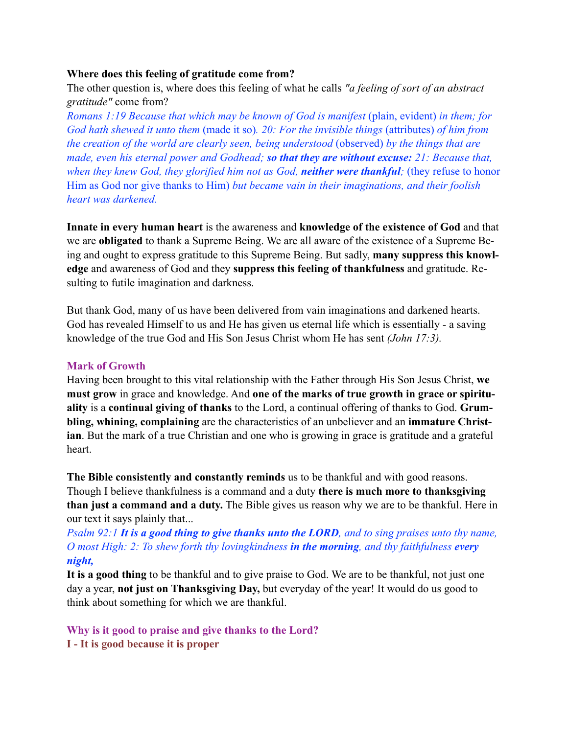#### **Where does this feeling of gratitude come from?**

The other question is, where does this feeling of what he calls *"a feeling of sort of an abstract gratitude"* come from?

*Romans 1:19 Because that which may be known of God is manifest* (plain, evident) *in them; for God hath shewed it unto them* (made it so)*. 20: For the invisible things* (attributes) *of him from the creation of the world are clearly seen, being understood* (observed) *by the things that are made, even his eternal power and Godhead; so that they are without excuse: 21: Because that, when they knew God, they glorified him not as God, neither were thankful;* (they refuse to honor Him as God nor give thanks to Him) *but became vain in their imaginations, and their foolish heart was darkened.* 

**Innate in every human heart** is the awareness and **knowledge of the existence of God** and that we are **obligated** to thank a Supreme Being. We are all aware of the existence of a Supreme Being and ought to express gratitude to this Supreme Being. But sadly, **many suppress this knowledge** and awareness of God and they **suppress this feeling of thankfulness** and gratitude. Resulting to futile imagination and darkness.

But thank God, many of us have been delivered from vain imaginations and darkened hearts. God has revealed Himself to us and He has given us eternal life which is essentially - a saving knowledge of the true God and His Son Jesus Christ whom He has sent *(John 17:3).*

#### **Mark of Growth**

Having been brought to this vital relationship with the Father through His Son Jesus Christ, **we must grow** in grace and knowledge. And **one of the marks of true growth in grace or spirituality** is a **continual giving of thanks** to the Lord, a continual offering of thanks to God. **Grumbling, whining, complaining** are the characteristics of an unbeliever and an **immature Christian**. But the mark of a true Christian and one who is growing in grace is gratitude and a grateful heart.

**The Bible consistently and constantly reminds** us to be thankful and with good reasons. Though I believe thankfulness is a command and a duty **there is much more to thanksgiving than just a command and a duty.** The Bible gives us reason why we are to be thankful. Here in our text it says plainly that...

*Psalm 92:1 It is a good thing to give thanks unto the LORD, and to sing praises unto thy name, O most High: 2: To shew forth thy lovingkindness in the morning, and thy faithfulness every night,*

**It is a good thing** to be thankful and to give praise to God. We are to be thankful, not just one day a year, **not just on Thanksgiving Day,** but everyday of the year! It would do us good to think about something for which we are thankful.

**Why is it good to praise and give thanks to the Lord?** 

**I - It is good because it is proper**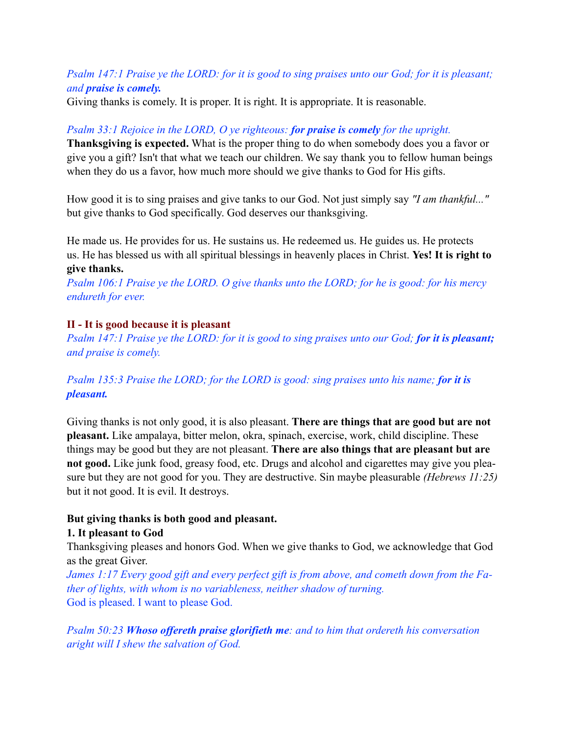## *Psalm 147:1 Praise ye the LORD: for it is good to sing praises unto our God; for it is pleasant; and praise is comely.*

Giving thanks is comely. It is proper. It is right. It is appropriate. It is reasonable.

# *Psalm 33:1 Rejoice in the LORD, O ye righteous: for praise is comely for the upright.*

**Thanksgiving is expected.** What is the proper thing to do when somebody does you a favor or give you a gift? Isn't that what we teach our children. We say thank you to fellow human beings when they do us a favor, how much more should we give thanks to God for His gifts.

How good it is to sing praises and give tanks to our God. Not just simply say *"I am thankful..."*  but give thanks to God specifically. God deserves our thanksgiving.

He made us. He provides for us. He sustains us. He redeemed us. He guides us. He protects us. He has blessed us with all spiritual blessings in heavenly places in Christ. **Yes! It is right to give thanks.**

*Psalm 106:1 Praise ye the LORD. O give thanks unto the LORD; for he is good: for his mercy endureth for ever.* 

### **II - It is good because it is pleasant**

*Psalm 147:1 Praise ye the LORD: for it is good to sing praises unto our God; for it is pleasant; and praise is comely.*

*Psalm 135:3 Praise the LORD; for the LORD is good: sing praises unto his name; for it is pleasant.*

Giving thanks is not only good, it is also pleasant. **There are things that are good but are not pleasant.** Like ampalaya, bitter melon, okra, spinach, exercise, work, child discipline. These things may be good but they are not pleasant. **There are also things that are pleasant but are not good.** Like junk food, greasy food, etc. Drugs and alcohol and cigarettes may give you pleasure but they are not good for you. They are destructive. Sin maybe pleasurable *(Hebrews 11:25)*  but it not good. It is evil. It destroys.

### **But giving thanks is both good and pleasant.**

### **1. It pleasant to God**

Thanksgiving pleases and honors God. When we give thanks to God, we acknowledge that God as the great Giver.

*James 1:17 Every good gift and every perfect gift is from above, and cometh down from the Father of lights, with whom is no variableness, neither shadow of turning.*  God is pleased. I want to please God.

*Psalm 50:23 Whoso offereth praise glorifieth me: and to him that ordereth his conversation aright will I shew the salvation of God.*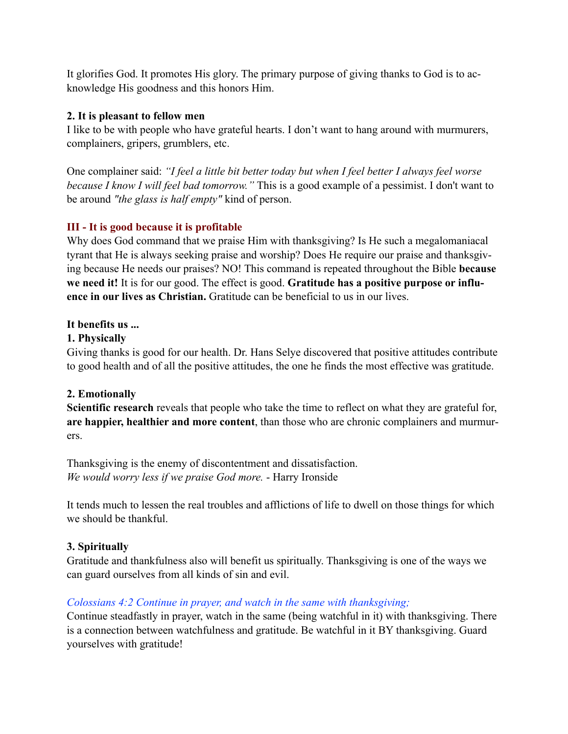It glorifies God. It promotes His glory. The primary purpose of giving thanks to God is to acknowledge His goodness and this honors Him.

## **2. It is pleasant to fellow men**

I like to be with people who have grateful hearts. I don't want to hang around with murmurers, complainers, gripers, grumblers, etc.

One complainer said: *"I feel a little bit better today but when I feel better I always feel worse because I know I will feel bad tomorrow."* This is a good example of a pessimist. I don't want to be around *"the glass is half empty"* kind of person.

# **III - It is good because it is profitable**

Why does God command that we praise Him with thanksgiving? Is He such a megalomaniacal tyrant that He is always seeking praise and worship? Does He require our praise and thanksgiving because He needs our praises? NO! This command is repeated throughout the Bible **because we need it!** It is for our good. The effect is good. **Gratitude has a positive purpose or influence in our lives as Christian.** Gratitude can be beneficial to us in our lives.

# **It benefits us ...**

## **1. Physically**

Giving thanks is good for our health. Dr. Hans Selye discovered that positive attitudes contribute to good health and of all the positive attitudes, the one he finds the most effective was gratitude.

# **2. Emotionally**

**Scientific research** reveals that people who take the time to reflect on what they are grateful for, **are happier, healthier and more content**, than those who are chronic complainers and murmurers.

Thanksgiving is the enemy of discontentment and dissatisfaction. *We would worry less if we praise God more.* - Harry Ironside

It tends much to lessen the real troubles and afflictions of life to dwell on those things for which we should be thankful.

# **3. Spiritually**

Gratitude and thankfulness also will benefit us spiritually. Thanksgiving is one of the ways we can guard ourselves from all kinds of sin and evil.

# *Colossians 4:2 Continue in prayer, and watch in the same with thanksgiving;*

Continue steadfastly in prayer, watch in the same (being watchful in it) with thanksgiving. There is a connection between watchfulness and gratitude. Be watchful in it BY thanksgiving. Guard yourselves with gratitude!